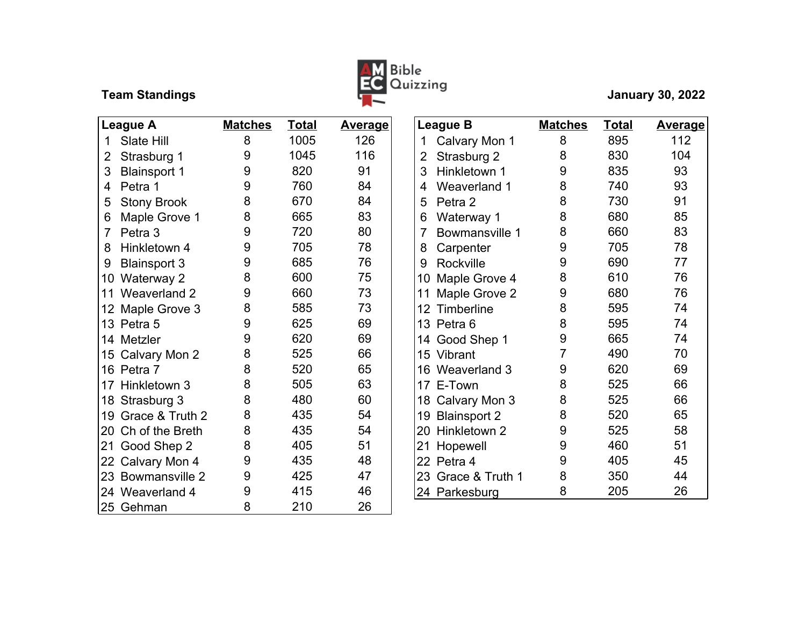

| <b>League A</b> |                     | <b>Matches</b> | <b>Total</b> | <b>Average</b> |                 | League B            | <b>Matches</b> | <b>Total</b> | <b>Avera</b> |
|-----------------|---------------------|----------------|--------------|----------------|-----------------|---------------------|----------------|--------------|--------------|
| 1               | Slate Hill          | 8              | 1005         | 126            | 1               | Calvary Mon 1       | 8              | 895          | 112          |
| 2               | Strasburg 1         | 9              | 1045         | 116            | 2               | Strasburg 2         | 8              | 830          | 104          |
| 3               | <b>Blainsport 1</b> | 9              | 820          | 91             | 3               | Hinkletown 1        | 9              | 835          | 93           |
| 4               | Petra 1             | 9              | 760          | 84             | 4               | Weaverland 1        | 8              | 740          | 93           |
| 5               | <b>Stony Brook</b>  | 8              | 670          | 84             | 5               | Petra 2             | 8              | 730          | 91           |
| 6               | Maple Grove 1       | 8              | 665          | 83             | 6               | Waterway 1          | 8              | 680          | 85           |
| 7               | Petra 3             | 9              | 720          | 80             | 7               | Bowmansville 1      | 8              | 660          | 83           |
| 8               | Hinkletown 4        | 9              | 705          | 78             | 8               | Carpenter           | 9              | 705          | 78           |
| 9               | <b>Blainsport 3</b> | 9              | 685          | 76             | 9               | Rockville           | 9              | 690          | 77           |
| 10              | Waterway 2          | 8              | 600          | 75             | 10              | Maple Grove 4       | 8              | 610          | 76           |
| 11              | Weaverland 2        | 9              | 660          | 73             | 11              | Maple Grove 2       | 9              | 680          | 76           |
| 12              | Maple Grove 3       | 8              | 585          | 73             | 12              | Timberline          | 8              | 595          | 74           |
| 13              | Petra 5             | 9              | 625          | 69             | 13              | Petra 6             | 8              | 595          | 74           |
| 14              | Metzler             | 9              | 620          | 69             | 14              | Good Shep 1         | 9              | 665          | 74           |
| 15              | Calvary Mon 2       | 8              | 525          | 66             |                 | 15 Vibrant          | 7              | 490          | 70           |
|                 | 16 Petra 7          | 8              | 520          | 65             | 16              | Weaverland 3        | 9              | 620          | 69           |
| 17              | Hinkletown 3        | 8              | 505          | 63             | 17              | E-Town              | 8              | 525          | 66           |
| 18              | Strasburg 3         | 8              | 480          | 60             |                 | 18 Calvary Mon 3    | 8              | 525          | 66           |
| 19              | Grace & Truth 2     | 8              | 435          | 54             | 19              | <b>Blainsport 2</b> | 8              | 520          | 65           |
| 20              | Ch of the Breth     | 8              | 435          | 54             | 20              | Hinkletown 2        | 9              | 525          | 58           |
| 21              | Good Shep 2         | 8              | 405          | 51             | 21              | Hopewell            | 9              | 460          | 51           |
| 22              | Calvary Mon 4       | 9              | 435          | 48             | 22 <sub>2</sub> | Petra 4             | 9              | 405          | 45           |
| 23              | Bowmansville 2      | 9              | 425          | 47             | 23              | Grace & Truth 1     | 8              | 350          | 44           |
|                 | 24 Weaverland 4     | 9              | 415          | 46             |                 | 24 Parkesburg       | 8              | 205          | 26           |
|                 | 25 Gehman           | 8              | 210          | 26             |                 |                     |                |              |              |

| <u>Total</u> | <b>Average</b> | <b>League B</b>                  | <b>Matches</b> | <u>Total</u> | <u>Average</u> |
|--------------|----------------|----------------------------------|----------------|--------------|----------------|
| 1005         | 126            | Calvary Mon 1<br>1               | 8              | 895          | 112            |
| 1045         | 116            | 2<br>Strasburg 2                 | 8              | 830          | 104            |
| 820          | 91             | 3<br>Hinkletown 1                | 9              | 835          | 93             |
| 760          | 84             | Weaverland 1<br>4                | 8              | 740          | 93             |
| 670          | 84             | 5<br>Petra 2                     | 8              | 730          | 91             |
| 665          | 83             | Waterway 1<br>6                  | 8              | 680          | 85             |
| 720          | 80             | $\overline{7}$<br>Bowmansville 1 | 8              | 660          | 83             |
| 705          | 78             | Carpenter<br>8                   | 9              | 705          | 78             |
| 685          | 76             | Rockville<br>9                   | 9              | 690          | 77             |
| 600          | 75             | Maple Grove 4<br>10              | 8              | 610          | 76             |
| 660          | 73             | Maple Grove 2<br>11              | 9              | 680          | 76             |
| 585          | 73             | Timberline<br>12 <sup>2</sup>    | 8              | 595          | 74             |
| 625          | 69             | 13 Petra 6                       | 8              | 595          | 74             |
| 620          | 69             | 14 Good Shep 1                   | 9              | 665          | 74             |
| 525          | 66             | 15 Vibrant                       | $\overline{7}$ | 490          | 70             |
| 520          | 65             | 16 Weaverland 3                  | 9              | 620          | 69             |
| 505          | 63             | 17 E-Town                        | 8              | 525          | 66             |
| 480          | 60             | 18 Calvary Mon 3                 | 8              | 525          | 66             |
| 435          | 54             | 19<br><b>Blainsport 2</b>        | 8              | 520          | 65             |
| 435          | 54             | 20 Hinkletown 2                  | 9              | 525          | 58             |
| 405          | 51             | 21<br>Hopewell                   | 9              | 460          | 51             |
| 435          | 48             | 22 Petra 4                       | 9              | 405          | 45             |
| 425          | 47             | 23 Grace & Truth 1               | 8              | 350          | 44             |
| 415          | 46             | 24 Parkesburg                    | 8              | 205          | 26             |
|              |                |                                  |                |              |                |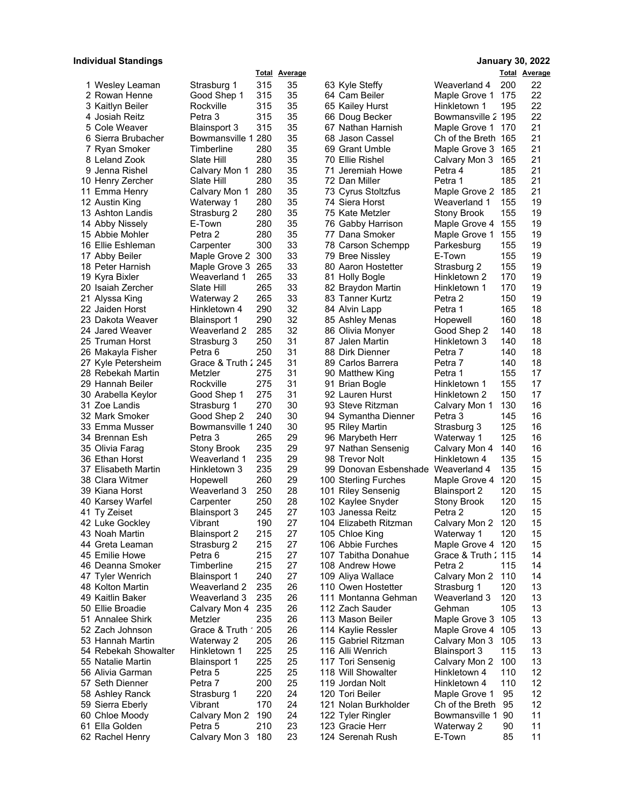## **Individual Standings January 30, 2022**

|                                   |                        |            | <b>Total Average</b> |                                     |                                 |            | <b>Total Average</b> |
|-----------------------------------|------------------------|------------|----------------------|-------------------------------------|---------------------------------|------------|----------------------|
| 1 Wesley Leaman                   | Strasburg 1            | 315        | 35                   | 63 Kyle Steffy                      | Weaverland 4                    | 200        | 22                   |
| 2 Rowan Henne                     | Good Shep 1            | 315        | 35                   | 64 Cam Beiler                       | Maple Grove 1                   | 175        | 22                   |
| 3 Kaitlyn Beiler                  | Rockville              | 315        | 35                   | 65 Kailey Hurst                     | Hinkletown 1                    | 195        | 22                   |
| 4 Josiah Reitz                    | Petra 3                | 315        | 35                   | 66 Doug Becker                      | Bowmansville 2 195              |            | 22                   |
| 5 Cole Weaver                     | <b>Blainsport 3</b>    | 315        | 35                   | 67 Nathan Harnish                   | Maple Grove 1                   | 170        | 21                   |
| 6 Sierra Brubacher                | Bowmansville 1 280     |            | 35                   | 68 Jason Cassel                     | Ch of the Breth 165             |            | 21                   |
| 7 Ryan Smoker                     | Timberline             | 280        | 35                   | 69 Grant Umble                      | Maple Grove 3                   | 165        | 21                   |
| 8 Leland Zook                     | Slate Hill             | 280        | 35                   | 70 Ellie Rishel                     | Calvary Mon 3                   | 165        | 21                   |
| 9 Jenna Rishel                    | Calvary Mon 1          | 280        | 35                   | 71 Jeremiah Howe                    | Petra 4                         | 185        | 21                   |
| 10 Henry Zercher                  | Slate Hill             | 280        | 35                   | 72 Dan Miller                       | Petra 1                         | 185        | 21                   |
| 11 Emma Henry                     | Calvary Mon 1          | 280        | 35                   | 73 Cyrus Stoltzfus                  | Maple Grove 2                   | 185        | 21                   |
| 12 Austin King                    | Waterway 1             | 280        | 35                   | 74 Siera Horst                      | Weaverland 1                    | 155        | 19                   |
| 13 Ashton Landis                  | Strasburg 2            | 280        | 35                   | 75 Kate Metzler                     | Stony Brook                     | 155        | 19                   |
| 14 Abby Nissely                   | E-Town                 | 280        | 35                   | 76 Gabby Harrison                   | Maple Grove 4                   | 155        | 19                   |
| 15 Abbie Mohler                   | Petra 2                | 280        | 35                   | 77 Dana Smoker                      | Maple Grove 1                   | 155        | 19                   |
| 16 Ellie Eshleman                 | Carpenter              | 300        | 33                   | 78 Carson Schempp                   | Parkesburg                      | 155        | 19                   |
| 17 Abby Beiler                    | Maple Grove 2 300      |            | 33                   | 79 Bree Nissley                     | E-Town                          | 155        | 19                   |
| 18 Peter Harnish                  | Maple Grove 3          | 265        | 33                   | 80 Aaron Hostetter                  | Strasburg 2                     | 155        | 19                   |
| 19 Kyra Bixler                    | Weaverland 1           | 265        | 33                   | 81 Holly Bogle                      | Hinkletown 2                    | 170        | 19                   |
| 20 Isaiah Zercher                 | Slate Hill             | 265        | 33                   | 82 Braydon Martin                   | Hinkletown 1                    | 170        | 19                   |
| 21 Alyssa King                    | Waterway 2             | 265        | 33                   | 83 Tanner Kurtz                     | Petra 2                         | 150        | 19                   |
| 22 Jaiden Horst                   | Hinkletown 4           | 290        | 32                   | 84 Alvin Lapp                       | Petra 1                         | 165        | 18                   |
| 23 Dakota Weaver                  | <b>Blainsport 1</b>    | 290        | 32                   | 85 Ashley Menas                     | Hopewell                        | 160        | 18                   |
| 24 Jared Weaver                   | Weaverland 2           | 285        | 32                   | 86 Olivia Monyer                    | Good Shep 2                     | 140        | 18                   |
| 25 Truman Horst                   | Strasburg 3            | 250        | 31                   | 87 Jalen Martin                     | Hinkletown 3                    | 140        | 18                   |
| 26 Makayla Fisher                 | Petra 6                | 250        | 31                   | 88 Dirk Dienner                     | Petra 7                         | 140        | 18                   |
| 27 Kyle Petersheim                | Grace & Truth 245      |            | 31                   | 89 Carlos Barrera                   | Petra 7                         | 140        | 18                   |
| 28 Rebekah Martin                 | Metzler                | 275        | 31                   | 90 Matthew King                     | Petra 1                         | 155        | 17                   |
| 29 Hannah Beiler                  | Rockville              | 275        | 31                   | 91 Brian Bogle                      | Hinkletown 1                    | 155        | 17                   |
| 30 Arabella Keylor                | Good Shep 1            | 275        | 31                   | 92 Lauren Hurst                     | Hinkletown 2                    | 150        | 17                   |
| 31 Zoe Landis                     | Strasburg 1            | 270        | 30                   | 93 Steve Ritzman                    | Calvary Mon 1                   | 130        | 16                   |
| 32 Mark Smoker                    | Good Shep 2            | 240        | 30                   | 94 Symantha Dienner                 | Petra 3                         | 145        | 16                   |
| 33 Emma Musser                    | Bowmansville 1 240     |            | 30                   | 95 Riley Martin                     | Strasburg 3                     | 125        | 16                   |
| 34 Brennan Esh                    | Petra 3                | 265        | 29                   | 96 Marybeth Herr                    | Waterway 1                      | 125        | 16                   |
| 35 Olivia Farag                   | <b>Stony Brook</b>     | 235        | 29                   | 97 Nathan Sensenig                  | Calvary Mon 4                   | 140        | 16                   |
| 36 Ethan Horst                    | Weaverland 1           | 235        | 29                   | 98 Trevor Nolt                      | Hinkletown 4                    | 135        | 15                   |
| 37 Elisabeth Martin               | Hinkletown 3           | 235        | 29                   | 99 Donovan Esbenshade Weaverland 4  |                                 | 135        | 15                   |
| 38 Clara Witmer                   | Hopewell               | 260        | 29                   | 100 Sterling Furches                | Maple Grove 4                   | 120        | 15                   |
| 39 Kiana Horst                    | Weaverland 3           | 250        | 28                   | 101 Riley Sensenig                  | Blainsport 2                    | 120        | 15                   |
| 40 Karsey Warfel                  | Carpenter              | 250        | 28                   | 102 Kaylee Snyder                   | Stony Brook                     | 120        | 15                   |
| 41 Ty Zeiset                      | <b>Blainsport 3</b>    | 245        | 27<br>27             | 103 Janessa Reitz                   | Petra 2                         | 120<br>120 | 15<br>15             |
| 42 Luke Gockley                   | Vibrant                | 190        |                      | 104 Elizabeth Ritzman               | Calvary Mon 2                   |            |                      |
| 43 Noah Martin<br>44 Greta Leaman | <b>Blainsport 2</b>    | 215<br>215 | 27<br>27             | 105 Chloe King<br>106 Abbie Furches | Waterway 1<br>Maple Grove 4 120 | 120        | 15<br>15             |
| 45 Emilie Howe                    | Strasburg 2<br>Petra 6 | 215        | 27                   | 107 Tabitha Donahue                 | Grace & Truth 2 115             |            | 14                   |
| 46 Deanna Smoker                  | Timberline             | 215        | 27                   | 108 Andrew Howe                     | Petra 2                         | 115        | 14                   |
| 47 Tyler Wenrich                  | <b>Blainsport 1</b>    | 240        | 27                   | 109 Aliya Wallace                   | Calvary Mon 2                   | 110        | 14                   |
| 48 Kolton Martin                  | Weaverland 2           | 235        | 26                   | 110 Owen Hostetter                  | Strasburg 1                     | 120        | 13                   |
| 49 Kaitlin Baker                  | Weaverland 3           | 235        | 26                   | 111 Montanna Gehman                 | Weaverland 3                    | 120        | 13                   |
| 50 Ellie Broadie                  | Calvary Mon 4          | 235        | 26                   | 112 Zach Sauder                     | Gehman                          | 105        | 13                   |
| 51 Annalee Shirk                  | Metzler                | 235        | 26                   | 113 Mason Beiler                    | Maple Grove 3                   | 105        | 13                   |
| 52 Zach Johnson                   | Grace & Truth ' 205    |            | 26                   | 114 Kaylie Ressler                  | Maple Grove 4                   | 105        | 13                   |
| 53 Hannah Martin                  | Waterway 2             | 205        | 26                   | 115 Gabriel Ritzman                 | Calvary Mon 3                   | 105        | 13                   |
| 54 Rebekah Showalter              | Hinkletown 1           | 225        | 25                   | 116 Alli Wenrich                    | <b>Blainsport 3</b>             | 115        | 13                   |
| 55 Natalie Martin                 | <b>Blainsport 1</b>    | 225        | 25                   | 117 Tori Sensenig                   | Calvary Mon 2                   | 100        | 13                   |
| 56 Alivia Garman                  | Petra 5                | 225        | 25                   | 118 Will Showalter                  | Hinkletown 4                    | 110        | 12                   |
| 57 Seth Dienner                   | Petra 7                | 200        | 25                   | 119 Jordan Nolt                     | Hinkletown 4                    | 110        | 12                   |
| 58 Ashley Ranck                   | Strasburg 1            | 220        | 24                   | 120 Tori Beiler                     | Maple Grove 1                   | 95         | 12                   |
| 59 Sierra Eberly                  | Vibrant                | 170        | 24                   | 121 Nolan Burkholder                | Ch of the Breth                 | 95         | 12                   |
| 60 Chloe Moody                    | Calvary Mon 2          | 190        | 24                   | 122 Tyler Ringler                   | Bowmansville 1 90               |            | 11                   |
| 61 Ella Golden                    | Petra 5                | 210        | 23                   | 123 Gracie Herr                     | Waterway 2                      | 90         | 11                   |
| 62 Rachel Henry                   | Calvary Mon 3 180      |            | 23                   | 124 Serenah Rush                    | E-Town                          | 85         | 11                   |